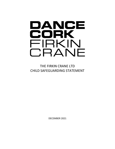# DANCE CORK FIRKIN CRANE

THE FIRKIN CRANE LTD CHILD SAFEGUARDING STATEMENT

DECEMBER 2021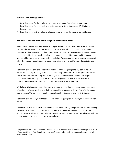# **Name of service being provided:**

- Providing space for dance classes by tenant groups and Firkin Crane programme.
- **•** Providing space for rehearsals and performances by tenant groups and Firkin Crane Programme.
- **•** Providing space to the professional dance community for developmental residencies.

# **Nature of service and principles to safeguard children from harm:**

Firkin Crane, the home of dance in Cork, is a place where dance artists, dance audiences and dance enthusiasts can make, see and join in dance of all kinds. Firkin Crane is unique as a resource for dance in Ireland in that it has a stage dedicated to the year-round presentation of dance. In addition it has smaller performance spaces, an exhibition space and four dance studios, all housed in a distinctive heritage building. These resources are important because of what they support people to do: to experiment with, to create and to enjoy dance in its many forms.

At Firkin Crane the care and safety of all children<sup>1</sup> and young people taking part in activities within the building, or taking part in Firkin Crane programmes off site, is our primary concern. We are committed to creating a safe, friendly and conducive environment which inspires confidence and creativity in children and young people who participate in Firkin Crane programme activities or attend Firkin Crane through other tenant groups.

We believe it is important that all people who work with children and young people are aware of the issues of good practice and their responsibility to safeguard the welfare of children and young people. Our guidelines have been developed bearing dance as an activity in mind.

At Firkin Crane we recognise that all children and young people have the right to freedom from  $abuse<sup>2</sup>$ .

We ensure that all our staff are carefully selected and that they accept responsibility for helping to prevent the abuse of children and young people in their care. We respond swiftly and appropriately to all suspicions or allegations of abuse, and provide parents and children with the opportunity to voice any concerns they may have.

 $^{1}$  As per the Children First Guidelines, a child is defined as an unmarried person under the age of 18 years.  $^2$  As per the Children First Guidelines, abuse is defined as neglect, bullying, emotional abuse, physical abuse, sexual abuse.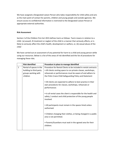We have assigned a Designated Liaison Person who takes responsibility for child safety and acts as the main point of contact for parents, children and young people and outside agencies. We ensure access to confidential information is restricted to the Designated Liaison Person or appropriate external authorities.

# **Risk Assessment**

Section 2 of the Children First Act 2015 defines harm as follows: 'harm means in relation to a child– (a) assault, ill-treatment or neglect of the child in a manner that seriously affects, or is likely to seriously affect the child's health, development or welfare, or, (b) sexual abuse of the child.'

We have carried out an assessment of any potential for harm to a child and young person while using our resources. Below is a list of the areas of risk identified and the list of procedures for managing these risks.

|              | <b>Risk identified</b>  | Procedure in place to manage identified                                                                                                      |
|--------------|-------------------------|----------------------------------------------------------------------------------------------------------------------------------------------|
| $\mathbf{1}$ | Rental of spaces in the | Procedure for Rental Clients to be included in rental contracts:                                                                             |
|              | building to third party | • All clients renting space to run private classes, workshops,                                                                               |
|              | groups working with     | rehearsals or performances must be aware of and adhere to                                                                                    |
|              | children                | the Firkin Crane Child Safeguarding Policy and Statement                                                                                     |
|              |                         | • All clients are expected to adhere to best practice in their                                                                               |
|              |                         | own procedures for classes, workshops, rehearsals or<br>performances                                                                         |
|              |                         | . In all rental cases the client is responsible for the health and<br>safety / conduct and child protection of the young people<br>involved. |
|              |                         | • All participants must remain in the spaces hired unless<br>authorised.                                                                     |
|              |                         | • Children changing their clothes, or being changed in a public<br>area is not permitted.                                                    |
|              |                         | • Parents/Guardians must wait in the agreed area for their<br>children.                                                                      |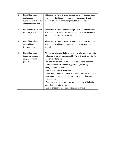| $\overline{2}$ | Risk of harm due to     | All teachers in Firkin Crane must sign up to the teacher code   |
|----------------|-------------------------|-----------------------------------------------------------------|
|                | inadequate              | of practice. No children allowed in the building without        |
|                | supervision of children | supervision. Buddy system in place for under 12's.              |
|                | while in Firkin Crane.  |                                                                 |
|                |                         |                                                                 |
| 3              | Risk of harm from staff | All teachers in Firkin Crane must sign up to the teacher code   |
|                | member/teacher.         | of practice. All Staff are Garda vetted. No children allowed in |
|                |                         | the building without supervision.                               |
|                |                         |                                                                 |
| 4              | Risk of harm from       | All teachers in Firkin Crane must sign up to the teacher code   |
|                | other children          | of practice. No children allowed in the building without        |
|                | (bullying etc.)         | supervision.                                                    |
|                |                         |                                                                 |
| 5              | Risk of harm due to     | When organising events for children the following information   |
|                | inappropriate use of    | and documentation is requested by Firkin Crane in relation to   |
|                | images of young         | each child attending:                                           |
|                | people                  | • An application form which will include parental consent;      |
|                |                         | • Contact details for the family/guardians, including           |
|                |                         | emergency contact numbers;                                      |
|                |                         | • Any relevant medical information;                             |
|                |                         | . Information relating to any special needs which the child or  |
|                |                         | young person may have in terms of access, diet, language        |
|                |                         | assistance, etc.                                                |
|                |                         | • Permission to take photography / video event will also be     |
|                |                         | requested at this juncture.                                     |
|                |                         | • Use of photographs is limited to specific group use.          |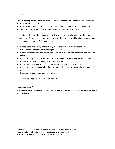# **Procedures**

Our Child Safeguarding Statement has been developed in line with the following documents:

- Children First Act 2015.
- Children First: National Guidance for the Protection and Welfare of Children (2017).
- Tusla's Child Safeguarding: A Guide for Policy, Procedure and Practice.

In addition to the procedures listed in our risk assessment, the following procedures support our intention to safeguard children and young people while they are availing of our resources and are contained in our Child Safeguarding Policy:

- Procedure for the management of allegations of abuse or misconduct against workers/volunteers of a child availing of our services;
- Procedure for the safe recruitment and selection of workers and volunteers to work with children;
- Procedure for provision of and access to child safeguarding training and information, including the identification of the occurrence of harm;
- Procedure for the reporting of child protection or welfare concerns to Tusla;
- Procedure for maintaining a list of the persons in the relevant service who are mandated persons;
- Procedure for appointing a relevant person.
- •

All procedures listed are available upon request.

# **Vulnerable Adults<sup>3</sup>**

The procedures contained in our Child Safeguarding Policy extend to the provision of services to vulnerable adults.

 $3$  The HSE defines a Vulnerable Person as an adult who is restricted in capacity to guard himself/herself against harm or exploitation or to report such harm or exploitation, as a result of physical or intellectual impairment.